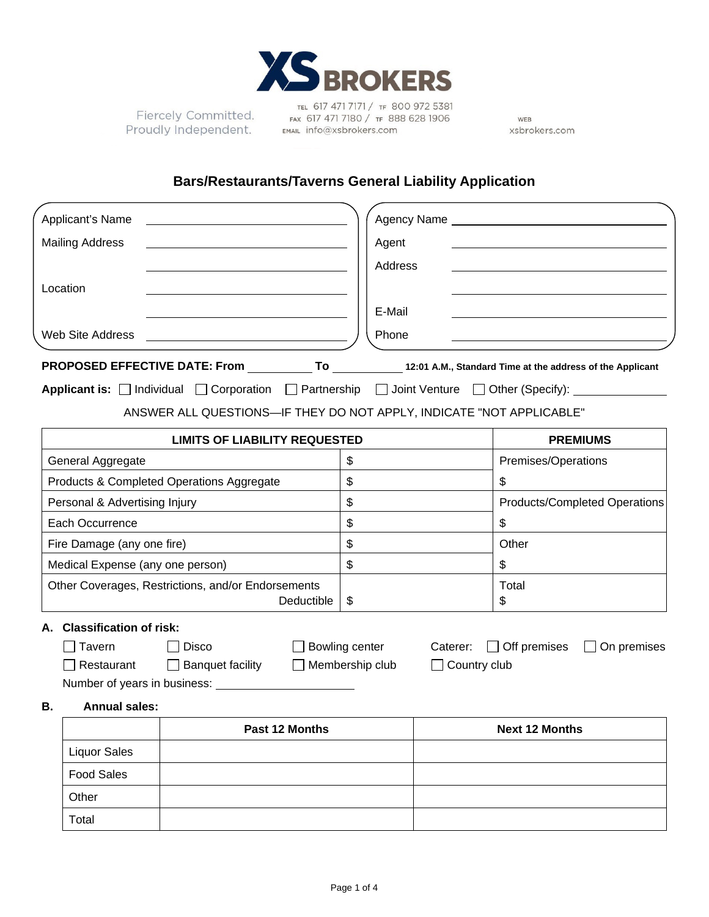

Fiercely Committed. Proudly Independent.

TEL 617 471 7171 / TF 800 972 5381 FAX 617 471 7180 / TF 888 628 1906 EMAIL info@xsbrokers.com

WEB xsbrokers.com

# **Bars/Restaurants/Taverns General Liability Application**

| Applicant's Name                                                                                                          |                        |                     |                                                    |  |
|---------------------------------------------------------------------------------------------------------------------------|------------------------|---------------------|----------------------------------------------------|--|
| <b>Mailing Address</b>                                                                                                    | Agent                  |                     |                                                    |  |
|                                                                                                                           | Address                |                     |                                                    |  |
| Location                                                                                                                  |                        |                     |                                                    |  |
|                                                                                                                           | E-Mail                 |                     |                                                    |  |
| Web Site Address                                                                                                          | Phone                  |                     |                                                    |  |
|                                                                                                                           |                        |                     |                                                    |  |
| <b>Applicant is:</b> $\Box$ Individual $\Box$ Corporation $\Box$ Partnership $\Box$ Joint Venture $\Box$ Other (Specify): |                        |                     |                                                    |  |
| ANSWER ALL QUESTIONS-IF THEY DO NOT APPLY, INDICATE "NOT APPLICABLE"                                                      |                        |                     |                                                    |  |
|                                                                                                                           |                        |                     |                                                    |  |
| <b>LIMITS OF LIABILITY REQUESTED</b>                                                                                      | \$                     |                     | <b>PREMIUMS</b>                                    |  |
| General Aggregate<br>Products & Completed Operations Aggregate                                                            | $\mathbb{S}$           |                     | Premises/Operations<br>\$                          |  |
|                                                                                                                           | $\mathfrak{S}$         |                     |                                                    |  |
| Personal & Advertising Injury                                                                                             | \$                     |                     | Products/Completed Operations                      |  |
| Each Occurrence                                                                                                           | \$                     |                     | \$                                                 |  |
| Fire Damage (any one fire)                                                                                                | $\mathfrak{S}$         |                     | Other                                              |  |
| Medical Expense (any one person)                                                                                          |                        |                     | \$                                                 |  |
| Other Coverages, Restrictions, and/or Endorsements<br>Deductible                                                          | \$                     |                     | Total<br>\$                                        |  |
| <b>Classification of risk:</b><br>А.                                                                                      |                        |                     |                                                    |  |
| Tavern<br>Disco                                                                                                           | $\Box$ Bowling center  | Caterer:            | $\Box$ Off premises<br>On premises<br>$\mathbf{I}$ |  |
| Restaurant<br>□ Banquet facility                                                                                          | $\Box$ Membership club | $\Box$ Country club |                                                    |  |
|                                                                                                                           |                        |                     |                                                    |  |
| <b>Annual sales:</b><br>В.                                                                                                |                        |                     |                                                    |  |
| Past 12 Months                                                                                                            |                        |                     | <b>Next 12 Months</b>                              |  |
| <b>Liquor Sales</b>                                                                                                       |                        |                     |                                                    |  |
| <b>Food Sales</b>                                                                                                         |                        |                     |                                                    |  |
| Other                                                                                                                     |                        |                     |                                                    |  |
| Total                                                                                                                     |                        |                     |                                                    |  |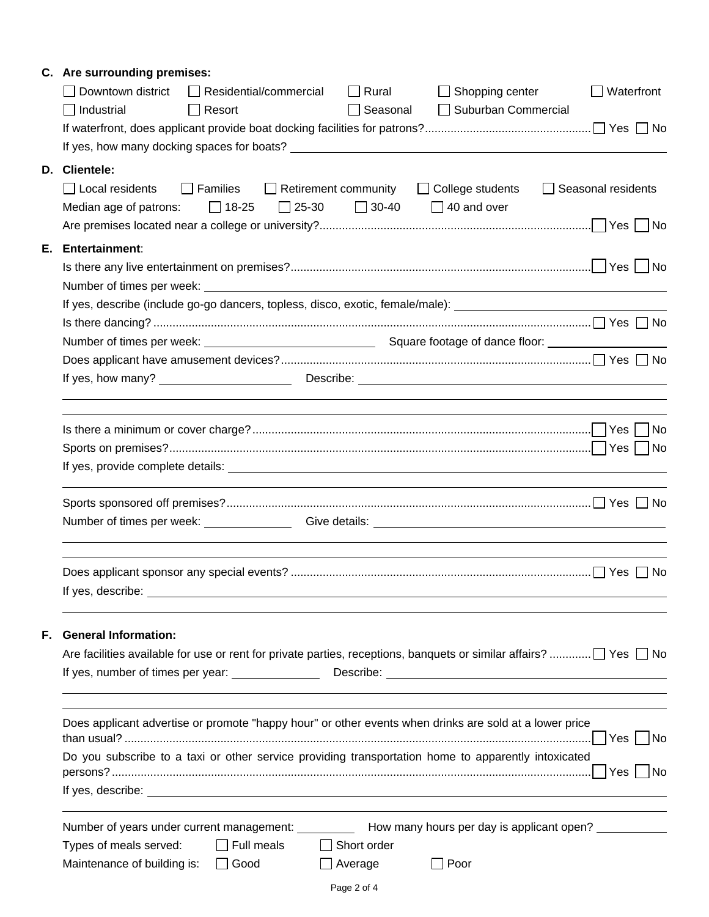|    | C. Are surrounding premises:<br>Downtown district<br>$\Box$ Residential/commercial<br>Shopping center<br>$\Box$ Rural<br>Waterfront<br>$\Box$ Suburban Commercial<br>$\Box$ Industrial<br>$\Box$ Resort<br>Seasonal                                                                                                                                                      |  |  |  |  |  |  |
|----|--------------------------------------------------------------------------------------------------------------------------------------------------------------------------------------------------------------------------------------------------------------------------------------------------------------------------------------------------------------------------|--|--|--|--|--|--|
|    | D. Clientele:<br>$\Box$ Local residents<br>□ Families □ Retirement community<br>□ College students<br>Seasonal residents<br>$\Box$ 30-40 $\Box$ 40 and over<br>Median age of patrons: $\Box$ 18-25<br>$\Box$ 25-30                                                                                                                                                       |  |  |  |  |  |  |
| Е. | <b>Entertainment:</b><br>Number of times per week: Number of times and the state of the state of the state of times and the state of the state of the state of the state of the state of the state of the state of the state of the state of the state<br>If yes, describe (include go-go dancers, topless, disco, exotic, female/male): _______________________________ |  |  |  |  |  |  |
|    |                                                                                                                                                                                                                                                                                                                                                                          |  |  |  |  |  |  |
|    |                                                                                                                                                                                                                                                                                                                                                                          |  |  |  |  |  |  |
|    |                                                                                                                                                                                                                                                                                                                                                                          |  |  |  |  |  |  |
|    | ,我们也不会有什么。""我们的人,我们也不会有什么?""我们的人,我们也不会有什么?""我们的人,我们也不会有什么?""我们的人,我们也不会有什么?""我们的人                                                                                                                                                                                                                                                                                         |  |  |  |  |  |  |
|    | Number of times per week: Give details: Communication of times per week:                                                                                                                                                                                                                                                                                                 |  |  |  |  |  |  |
|    | No.                                                                                                                                                                                                                                                                                                                                                                      |  |  |  |  |  |  |
| F. | <b>General Information:</b><br>Are facilities available for use or rent for private parties, receptions, banquets or similar affairs? $\Box$ Yes $\Box$ No                                                                                                                                                                                                               |  |  |  |  |  |  |
|    | Does applicant advertise or promote "happy hour" or other events when drinks are sold at a lower price<br>Do you subscribe to a taxi or other service providing transportation home to apparently intoxicated                                                                                                                                                            |  |  |  |  |  |  |
|    | Number of years under current management: ____________ How many hours per day is applicant open? ____________<br>$\Box$ Full meals<br>$\Box$ Short order<br>Types of meals served:<br>Maintenance of building is: $\Box$ Good<br>$\Box$ Average<br>$\Box$ Poor                                                                                                           |  |  |  |  |  |  |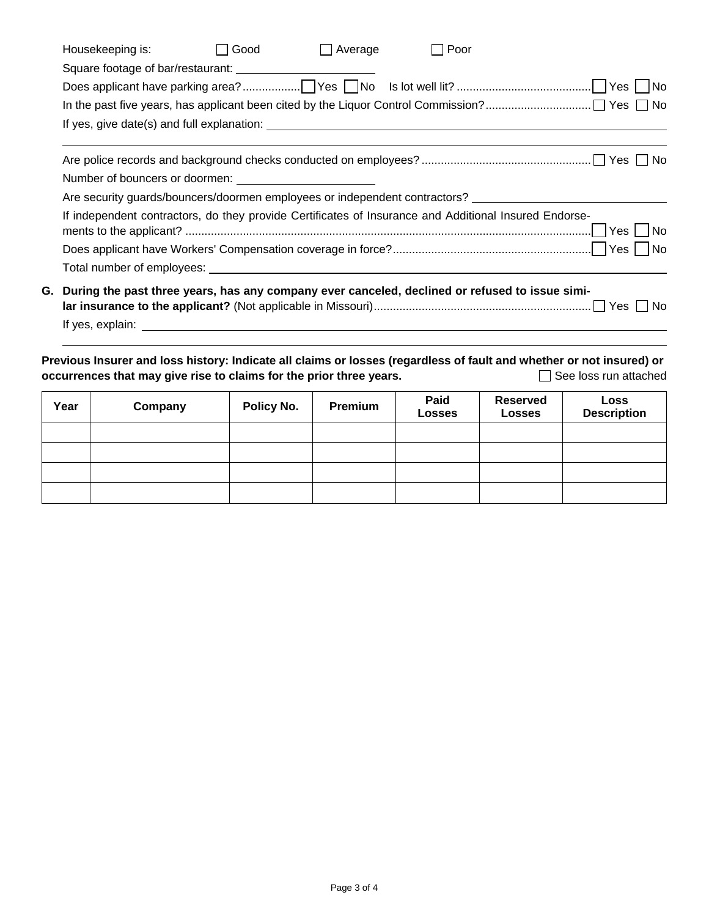| $\Box$ Average<br>Good<br>Poor<br>Housekeeping is:<br>$\perp$                                                                                                                                                                 |  |
|-------------------------------------------------------------------------------------------------------------------------------------------------------------------------------------------------------------------------------|--|
|                                                                                                                                                                                                                               |  |
|                                                                                                                                                                                                                               |  |
|                                                                                                                                                                                                                               |  |
|                                                                                                                                                                                                                               |  |
|                                                                                                                                                                                                                               |  |
|                                                                                                                                                                                                                               |  |
|                                                                                                                                                                                                                               |  |
| Are security quards/bouncers/doormen employees or independent contractors? __________________________________                                                                                                                 |  |
| If independent contractors, do they provide Certificates of Insurance and Additional Insured Endorse-                                                                                                                         |  |
|                                                                                                                                                                                                                               |  |
|                                                                                                                                                                                                                               |  |
| G. During the past three years, has any company ever canceled, declined or refused to issue simi-                                                                                                                             |  |
| If yes, explain: The state of the state of the state of the state of the state of the state of the state of the state of the state of the state of the state of the state of the state of the state of the state of the state |  |

**Previous Insurer and loss history: Indicate all claims or losses (regardless of fault and whether or not insured) or occurrences that may give rise to claims for the prior three years.** See See loss run attached

| Year | Company | Policy No. | Premium | Paid<br><b>Losses</b> | <b>Reserved</b><br><b>Losses</b> | Loss<br><b>Description</b> |
|------|---------|------------|---------|-----------------------|----------------------------------|----------------------------|
|      |         |            |         |                       |                                  |                            |
|      |         |            |         |                       |                                  |                            |
|      |         |            |         |                       |                                  |                            |
|      |         |            |         |                       |                                  |                            |